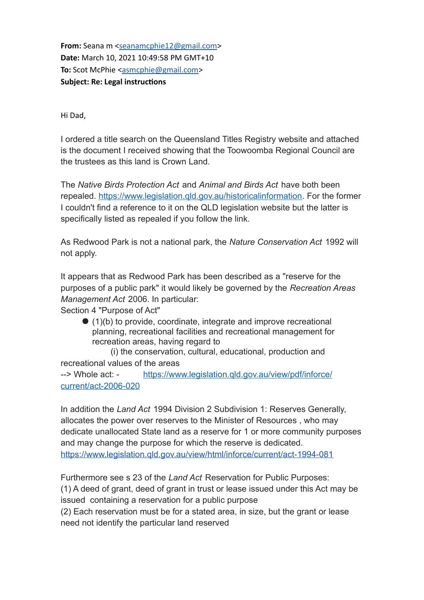**From:** Seana m [<seanamcphie12@gmail.com](mailto:seanamcphie12@gmail.com)> **Date:** March 10, 2021 10:49:58 PM GMT+10 **To:** Scot McPhie [<asmcphie@gmail.com>](mailto:asmcphie@gmail.com) **Subject: Re: Legal instructions**

Hi Dad,

I ordered a title search on the Queensland Titles Registry website and attached is the document I received showing that the Toowoomba Regional Council are the trustees as this land is Crown Land.

The *Native Birds Protection Act* and *Animal and Birds Act* have both been repealed. https://www.legislation.gld.gov.au/historicalinformation. For the former I couldn't find a reference to it on the QLD legislation website but the latter is specifically listed as repealed if you follow the link.

As Redwood Park is not a national park, the *Nature Conservation Act* 1992 will not apply.

It appears that as Redwood Park has been described as a "reserve for the purposes of a public park" it would likely be governed by the *Recreation Areas Management Act* 2006. In particular:

Section 4 "Purpose of Act"

 $(1)(b)$  to provide, coordinate, integrate and improve recreational planning, recreational facilities and recreational management for recreation areas, having regard to

(i) the conservation, cultural, educational, production and recreational values of the areas --> Whole act: - [https://www.legislation.qld.gov.au/view/pdf/inforce/](https://www.legislation.qld.gov.au/view/pdf/inforce/current/act-2006-020)

[current/act-2006-020](https://www.legislation.qld.gov.au/view/pdf/inforce/current/act-2006-020)

In addition the *Land Act* 1994 Division 2 Subdivision 1: Reserves Generally, allocates the power over reserves to the Minister of Resources , who may dedicate unallocated State land as a reserve for 1 or more community purposes and may change the purpose for which the reserve is dedicated. <https://www.legislation.qld.gov.au/view/html/inforce/current/act-1994-081>

Furthermore see s 23 of the *Land Act* Reservation for Public Purposes: (1) A deed of grant, deed of grant in trust or lease issued under this Act may be issued containing a reservation for a public purpose

(2) Each reservation must be for a stated area, in size, but the grant or lease need not identify the particular land reserved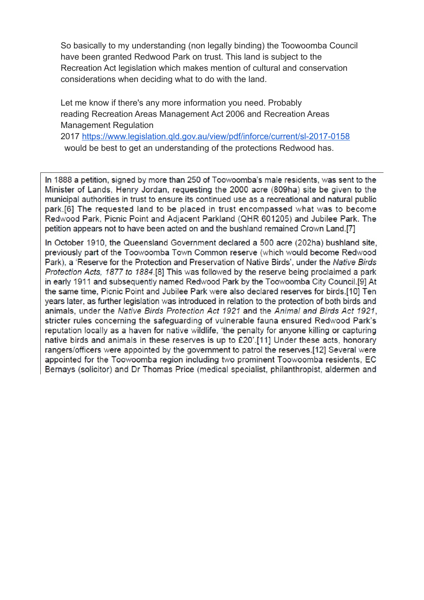So basically to my understanding (non legally binding) the Toowoomba Council have been granted Redwood Park on trust. This land is subject to the Recreation Act legislation which makes mention of cultural and conservation considerations when deciding what to do with the land.

Let me know if there's any more information you need. Probably reading Recreation Areas Management Act 2006 and Recreation Areas Management Regulation 2017 <https://www.legislation.qld.gov.au/view/pdf/inforce/current/sl-2017-0158> would be best to get an understanding of the protections Redwood has.

In 1888 a petition, signed by more than 250 of Toowoomba's male residents, was sent to the Minister of Lands, Henry Jordan, requesting the 2000 acre (809ha) site be given to the municipal authorities in trust to ensure its continued use as a recreational and natural public park.[6] The requested land to be placed in trust encompassed what was to become Redwood Park, Picnic Point and Adjacent Parkland (QHR 601205) and Jubilee Park. The petition appears not to have been acted on and the bushland remained Crown Land.[7]

In October 1910, the Queensland Government declared a 500 acre (202ha) bushland site, previously part of the Toowoomba Town Common reserve (which would become Redwood Park), a 'Reserve for the Protection and Preservation of Native Birds', under the Native Birds Protection Acts, 1877 to 1884.[8] This was followed by the reserve being proclaimed a park in early 1911 and subsequently named Redwood Park by the Toowoomba City Council.[9] At the same time, Picnic Point and Jubilee Park were also declared reserves for birds.[10] Ten years later, as further legislation was introduced in relation to the protection of both birds and animals, under the Native Birds Protection Act 1921 and the Animal and Birds Act 1921, stricter rules concerning the safeguarding of vulnerable fauna ensured Redwood Park's reputation locally as a haven for native wildlife, 'the penalty for anyone killing or capturing native birds and animals in these reserves is up to £20'.[11] Under these acts, honorary rangers/officers were appointed by the government to patrol the reserves.[12] Several were appointed for the Toowoomba region including two prominent Toowoomba residents, EC Bernays (solicitor) and Dr Thomas Price (medical specialist, philanthropist, aldermen and